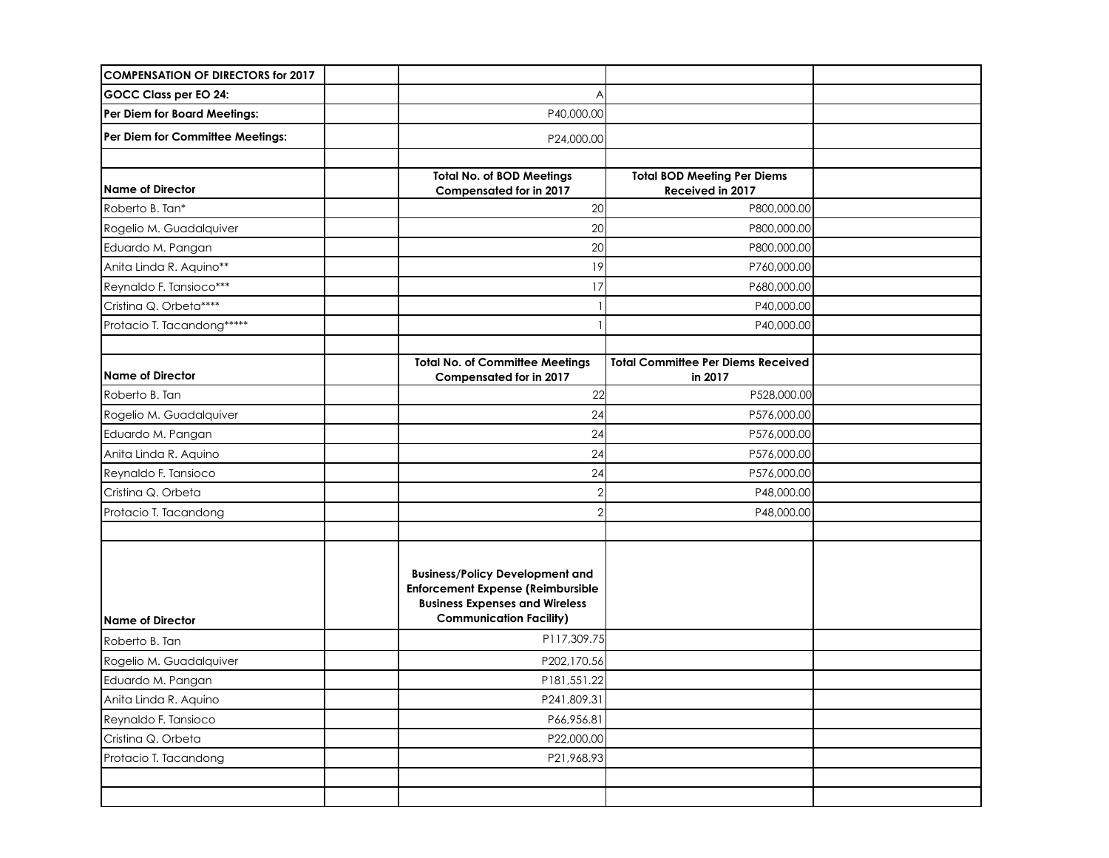| <b>COMPENSATION OF DIRECTORS for 2017</b> |                                                                                                                                                               |                                                        |  |
|-------------------------------------------|---------------------------------------------------------------------------------------------------------------------------------------------------------------|--------------------------------------------------------|--|
| GOCC Class per EO 24:                     | Α                                                                                                                                                             |                                                        |  |
| Per Diem for Board Meetings:              | P40,000.00                                                                                                                                                    |                                                        |  |
| Per Diem for Committee Meetings:          | P24,000.00                                                                                                                                                    |                                                        |  |
|                                           |                                                                                                                                                               |                                                        |  |
| <b>Name of Director</b>                   | <b>Total No. of BOD Meetings</b><br><b>Compensated for in 2017</b>                                                                                            | <b>Total BOD Meeting Per Diems</b><br>Received in 2017 |  |
| Roberto B. Tan*                           | 20                                                                                                                                                            | P800,000.00                                            |  |
| Rogelio M. Guadalquiver                   | 20                                                                                                                                                            | P800,000.00                                            |  |
| Eduardo M. Pangan                         | 20                                                                                                                                                            | P800,000.00                                            |  |
| Anita Linda R. Aquino**                   | 9                                                                                                                                                             | P760,000.00                                            |  |
| Reynaldo F. Tansioco***                   | 17                                                                                                                                                            | P680,000.00                                            |  |
| Cristina Q. Orbeta****                    |                                                                                                                                                               | P40,000.00                                             |  |
| Protacio T. Tacandong*****                |                                                                                                                                                               | P40,000.00                                             |  |
|                                           |                                                                                                                                                               |                                                        |  |
| Name of Director                          | <b>Total No. of Committee Meetings</b><br>Compensated for in 2017                                                                                             | <b>Total Committee Per Diems Received</b><br>in 2017   |  |
| Roberto B. Tan                            | 22                                                                                                                                                            | P528,000.00                                            |  |
| Rogelio M. Guadalquiver                   | 24                                                                                                                                                            | P576,000.00                                            |  |
| Eduardo M. Pangan                         | 24                                                                                                                                                            | P576,000.00                                            |  |
| Anita Linda R. Aquino                     | 24                                                                                                                                                            | P576,000.00                                            |  |
| Reynaldo F. Tansioco                      | 24                                                                                                                                                            | P576,000.00                                            |  |
| Cristina Q. Orbeta                        | $\overline{2}$                                                                                                                                                | P48,000.00                                             |  |
| Protacio T. Tacandong                     | $\overline{2}$                                                                                                                                                | P48,000.00                                             |  |
|                                           |                                                                                                                                                               |                                                        |  |
| <b>Name of Director</b>                   | <b>Business/Policy Development and</b><br><b>Enforcement Expense (Reimbursible</b><br><b>Business Expenses and Wireless</b><br><b>Communication Facility)</b> |                                                        |  |
| Roberto B. Tan                            | P117,309.75                                                                                                                                                   |                                                        |  |
| Rogelio M. Guadalquiver                   | P202,170.56                                                                                                                                                   |                                                        |  |
| Eduardo M. Pangan                         | P181,551.22                                                                                                                                                   |                                                        |  |
| Anita Linda R. Aquino                     | P241,809.31                                                                                                                                                   |                                                        |  |
| Reynaldo F. Tansioco                      | P66,956.81                                                                                                                                                    |                                                        |  |
| Cristina Q. Orbeta                        | P22,000.00                                                                                                                                                    |                                                        |  |
| Protacio T. Tacandong                     | P21,968.93                                                                                                                                                    |                                                        |  |
|                                           |                                                                                                                                                               |                                                        |  |
|                                           |                                                                                                                                                               |                                                        |  |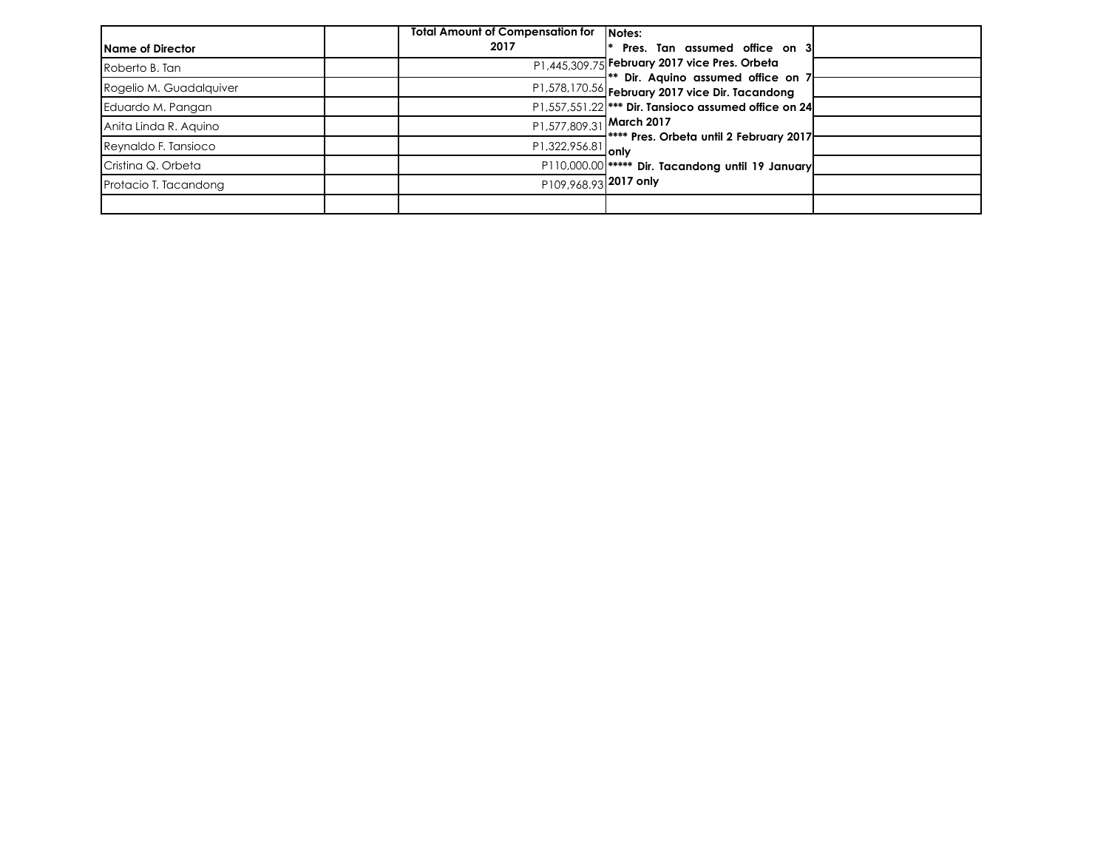|                         | <b>Total Amount of Compensation for</b> | <b>INotes:</b>                                                                        |
|-------------------------|-----------------------------------------|---------------------------------------------------------------------------------------|
| lName of Director       | 2017                                    | Pres. Tan assumed office on 3                                                         |
| Roberto B. Tan          |                                         | P1,445,309.75 February 2017 vice Pres. Orbeta                                         |
| Rogelio M. Guadalquiver |                                         | ** Dir. Aquino assumed office on 7<br>P1,578,170.56 February 2017 vice Dir. Tacandong |
| Eduardo M. Pangan       |                                         | P1,557,551.22  *** Dir. Tansioco assumed office on 24                                 |
| Anita Linda R. Aquino   |                                         | P1,577,809.31 March 2017                                                              |
| Reynaldo F. Tansioco    | P1,322,956.81 only                      | ⊣**** Pres. Orbeta until 2 February 2017                                              |
| Cristina Q. Orbeta      |                                         | P110,000.00  ***** Dir. Tacandong until 19 January                                    |
| Protacio T. Tacandong   | P109,968.93 2017 only                   |                                                                                       |
|                         |                                         |                                                                                       |